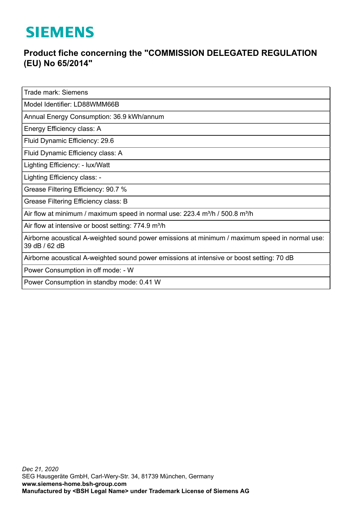## **SIEMENS**

## **Product fiche concerning the "COMMISSION DELEGATED REGULATION (EU) No 65/2014"**

Trade mark: Siemens

Model Identifier: LD88WMM66B

Annual Energy Consumption: 36.9 kWh/annum

Energy Efficiency class: A

Fluid Dynamic Efficiency: 29.6

Fluid Dynamic Efficiency class: A

Lighting Efficiency: - lux/Watt

Lighting Efficiency class: -

Grease Filtering Efficiency: 90.7 %

Grease Filtering Efficiency class: B

Air flow at minimum / maximum speed in normal use:  $223.4$  m<sup>3</sup>/h / 500.8 m<sup>3</sup>/h

Air flow at intensive or boost setting: 774.9 m<sup>3</sup>/h

Airborne acoustical A-weighted sound power emissions at minimum / maximum speed in normal use: 39 dB / 62 dB

Airborne acoustical A-weighted sound power emissions at intensive or boost setting: 70 dB

Power Consumption in off mode: - W

Power Consumption in standby mode: 0.41 W